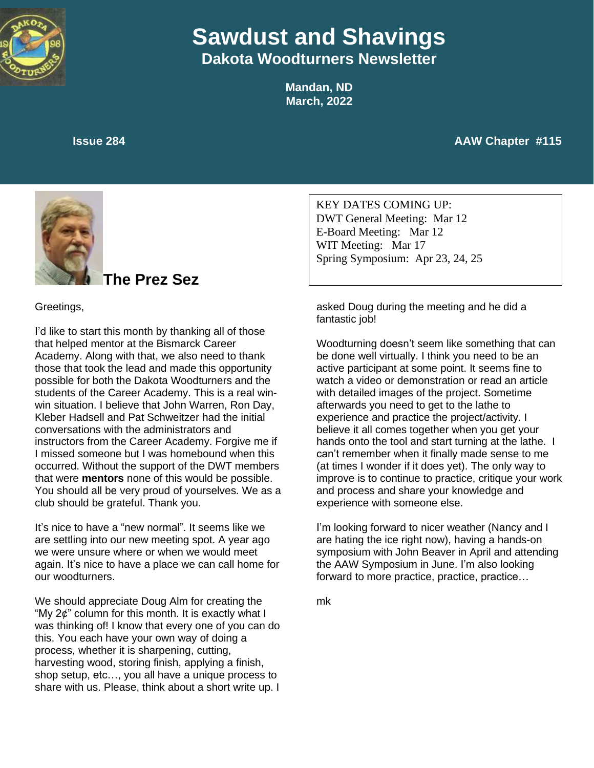

## **Sawdust and Shavings Dakota Woodturners Newsletter**

**Mandan, ND March, 2022**

**Issue 284 AAW Chapter #115** 



## **The Prez Sez**

Greetings,

I'd like to start this month by thanking all of those that helped mentor at the Bismarck Career Academy. Along with that, we also need to thank those that took the lead and made this opportunity possible for both the Dakota Woodturners and the students of the Career Academy. This is a real winwin situation. I believe that John Warren, Ron Day, Kleber Hadsell and Pat Schweitzer had the initial conversations with the administrators and instructors from the Career Academy. Forgive me if I missed someone but I was homebound when this occurred. Without the support of the DWT members that were **mentors** none of this would be possible. You should all be very proud of yourselves. We as a club should be grateful. Thank you.

It's nice to have a "new normal". It seems like we are settling into our new meeting spot. A year ago we were unsure where or when we would meet again. It's nice to have a place we can call home for our woodturners.

We should appreciate Doug Alm for creating the "My 2¢" column for this month. It is exactly what I was thinking of! I know that every one of you can do this. You each have your own way of doing a process, whether it is sharpening, cutting, harvesting wood, storing finish, applying a finish, shop setup, etc…, you all have a unique process to share with us. Please, think about a short write up. I

KEY DATES COMING UP: DWT General Meeting: Mar 12 E-Board Meeting: Mar 12 WIT Meeting: Mar 17 Spring Symposium: Apr 23, 24, 25

asked Doug during the meeting and he did a fantastic job!

Woodturning doesn't seem like something that can be done well virtually. I think you need to be an active participant at some point. It seems fine to watch a video or demonstration or read an article with detailed images of the project. Sometime afterwards you need to get to the lathe to experience and practice the project/activity. I believe it all comes together when you get your hands onto the tool and start turning at the lathe. I can't remember when it finally made sense to me (at times I wonder if it does yet). The only way to improve is to continue to practice, critique your work and process and share your knowledge and experience with someone else.

I'm looking forward to nicer weather (Nancy and I are hating the ice right now), having a hands-on symposium with John Beaver in April and attending the AAW Symposium in June. I'm also looking forward to more practice, practice, practice…

| v<br>v |  |
|--------|--|
|--------|--|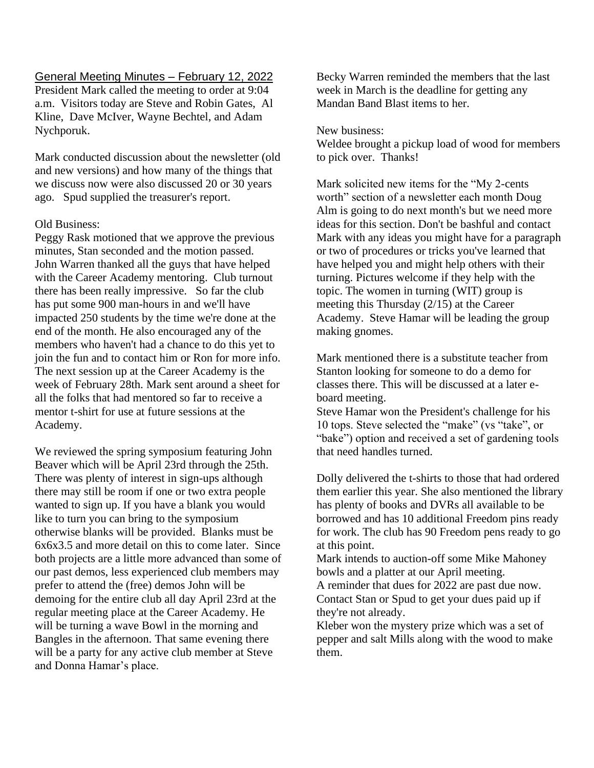#### General Meeting Minutes – February 12, 2022

President Mark called the meeting to order at 9:04 a.m. Visitors today are Steve and Robin Gates, Al Kline, Dave McIver, Wayne Bechtel, and Adam Nychporuk.

Mark conducted discussion about the newsletter (old and new versions) and how many of the things that we discuss now were also discussed 20 or 30 years ago. Spud supplied the treasurer's report.

#### Old Business:

Peggy Rask motioned that we approve the previous minutes, Stan seconded and the motion passed. John Warren thanked all the guys that have helped with the Career Academy mentoring. Club turnout there has been really impressive. So far the club has put some 900 man-hours in and we'll have impacted 250 students by the time we're done at the end of the month. He also encouraged any of the members who haven't had a chance to do this yet to join the fun and to contact him or Ron for more info. The next session up at the Career Academy is the week of February 28th. Mark sent around a sheet for all the folks that had mentored so far to receive a mentor t-shirt for use at future sessions at the Academy.

We reviewed the spring symposium featuring John Beaver which will be April 23rd through the 25th. There was plenty of interest in sign-ups although there may still be room if one or two extra people wanted to sign up. If you have a blank you would like to turn you can bring to the symposium otherwise blanks will be provided. Blanks must be 6x6x3.5 and more detail on this to come later. Since both projects are a little more advanced than some of our past demos, less experienced club members may prefer to attend the (free) demos John will be demoing for the entire club all day April 23rd at the regular meeting place at the Career Academy. He will be turning a wave Bowl in the morning and Bangles in the afternoon. That same evening there will be a party for any active club member at Steve and Donna Hamar's place.

Becky Warren reminded the members that the last week in March is the deadline for getting any Mandan Band Blast items to her.

#### New business:

Weldee brought a pickup load of wood for members to pick over. Thanks!

Mark solicited new items for the "My 2-cents worth" section of a newsletter each month Doug Alm is going to do next month's but we need more ideas for this section. Don't be bashful and contact Mark with any ideas you might have for a paragraph or two of procedures or tricks you've learned that have helped you and might help others with their turning. Pictures welcome if they help with the topic. The women in turning (WIT) group is meeting this Thursday (2/15) at the Career Academy. Steve Hamar will be leading the group making gnomes.

Mark mentioned there is a substitute teacher from Stanton looking for someone to do a demo for classes there. This will be discussed at a later eboard meeting.

Steve Hamar won the President's challenge for his 10 tops. Steve selected the "make" (vs "take", or "bake") option and received a set of gardening tools that need handles turned.

Dolly delivered the t-shirts to those that had ordered them earlier this year. She also mentioned the library has plenty of books and DVRs all available to be borrowed and has 10 additional Freedom pins ready for work. The club has 90 Freedom pens ready to go at this point.

Mark intends to auction-off some Mike Mahoney bowls and a platter at our April meeting.

A reminder that dues for 2022 are past due now. Contact Stan or Spud to get your dues paid up if they're not already.

Kleber won the mystery prize which was a set of pepper and salt Mills along with the wood to make them.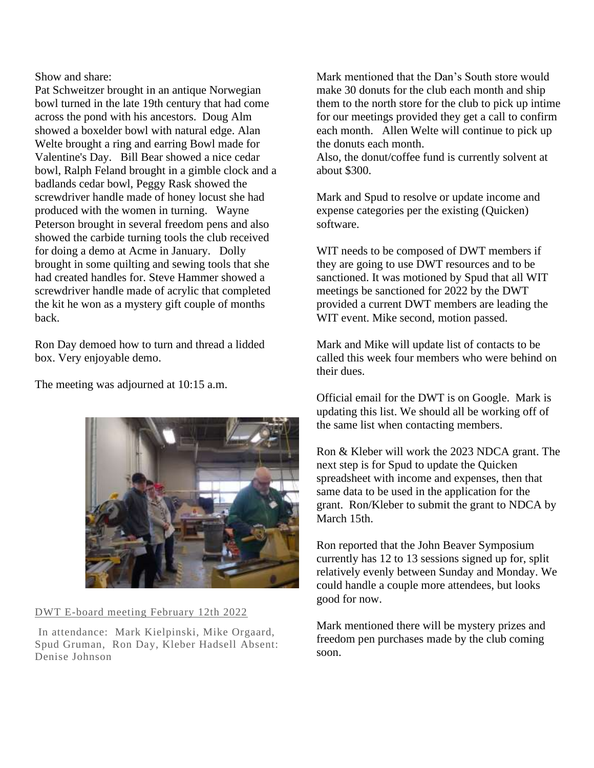Show and share:

Pat Schweitzer brought in an antique Norwegian bowl turned in the late 19th century that had come across the pond with his ancestors. Doug Alm showed a boxelder bowl with natural edge. Alan Welte brought a ring and earring Bowl made for Valentine's Day. Bill Bear showed a nice cedar bowl, Ralph Feland brought in a gimble clock and a badlands cedar bowl, Peggy Rask showed the screwdriver handle made of honey locust she had produced with the women in turning. Wayne Peterson brought in several freedom pens and also showed the carbide turning tools the club received for doing a demo at Acme in January. Dolly brought in some quilting and sewing tools that she had created handles for. Steve Hammer showed a screwdriver handle made of acrylic that completed the kit he won as a mystery gift couple of months back.

Ron Day demoed how to turn and thread a lidded box. Very enjoyable demo.

The meeting was adjourned at 10:15 a.m.



DWT E-board meeting February 12th 2022

In attendance: Mark Kielpinski, Mike Orgaard, Spud Gruman, Ron Day, Kleber Hadsell Absent: Denise Johnson

Mark mentioned that the Dan's South store would make 30 donuts for the club each month and ship them to the north store for the club to pick up intime for our meetings provided they get a call to confirm each month. Allen Welte will continue to pick up the donuts each month.

Also, the donut/coffee fund is currently solvent at about \$300.

Mark and Spud to resolve or update income and expense categories per the existing (Quicken) software.

WIT needs to be composed of DWT members if they are going to use DWT resources and to be sanctioned. It was motioned by Spud that all WIT meetings be sanctioned for 2022 by the DWT provided a current DWT members are leading the WIT event. Mike second, motion passed.

Mark and Mike will update list of contacts to be called this week four members who were behind on their dues.

Official email for the DWT is on Google. Mark is updating this list. We should all be working off of the same list when contacting members.

Ron & Kleber will work the 2023 NDCA grant. The next step is for Spud to update the Quicken spreadsheet with income and expenses, then that same data to be used in the application for the grant. Ron/Kleber to submit the grant to NDCA by March 15th.

Ron reported that the John Beaver Symposium currently has 12 to 13 sessions signed up for, split relatively evenly between Sunday and Monday. We could handle a couple more attendees, but looks good for now.

Mark mentioned there will be mystery prizes and freedom pen purchases made by the club coming soon.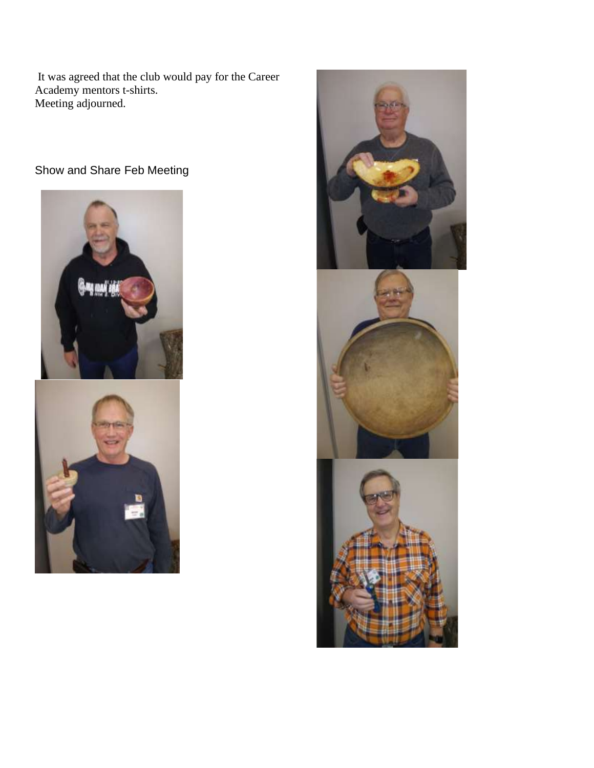It was agreed that the club would pay for the Career Academy mentors t-shirts. Meeting adjourned.

### Show and Share Feb Meeting



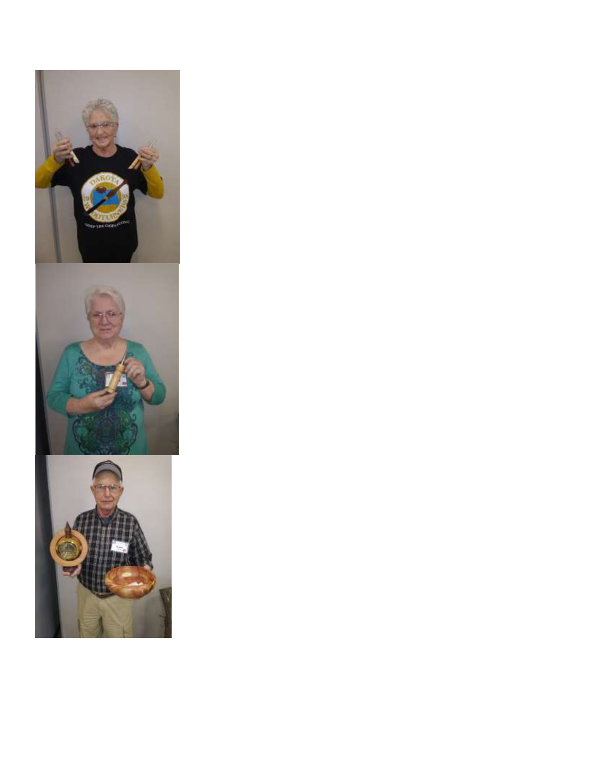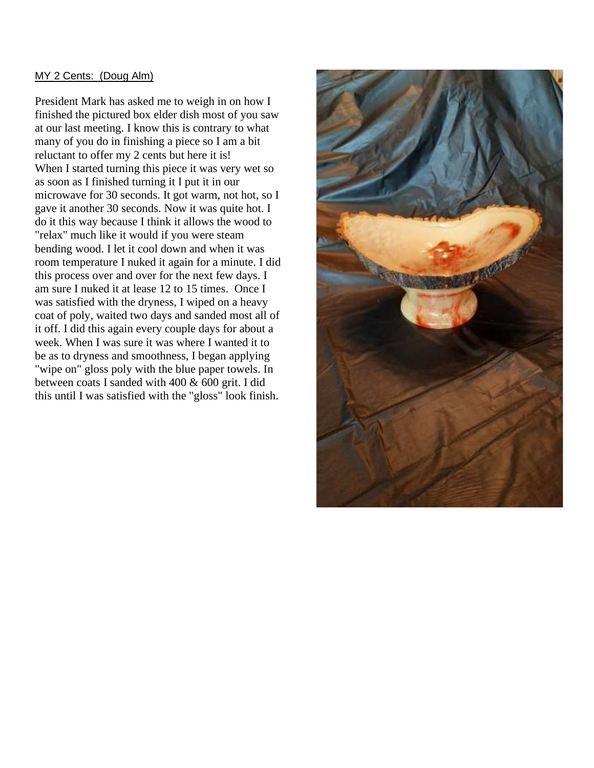#### MY 2 Cents: (Doug Alm)

President Mark has asked me to weigh in on how I finished the pictured box elder dish most of you saw at our last meeting. I know this is contrary to what many of you do in finishing a piece so I am a bit reluctant to offer my 2 cents but here it is! When I started turning this piece it was very wet so as soon as I finished turning it I put it in our microwave for 30 seconds. It got warm, not hot, so I gave it another 30 seconds. Now it was quite hot. I do it this way because I think it allows the wood to "relax" much like it would if you were steam bending wood. I let it cool down and when it was room temperature I nuked it again for a minute. I did this process over and over for the next few days. I am sure I nuked it at lease 12 to 15 times. Once I was satisfied with the dryness, I wiped on a heavy coat of poly, waited two days and sanded most all of it off. I did this again every couple days for about a week. When I was sure it was where I wanted it to be as to dryness and smoothness, I began applying "wipe on" gloss poly with the blue paper towels. In between coats I sanded with 400 & 600 grit. I did this until I was satisfied with the "gloss" look finish.

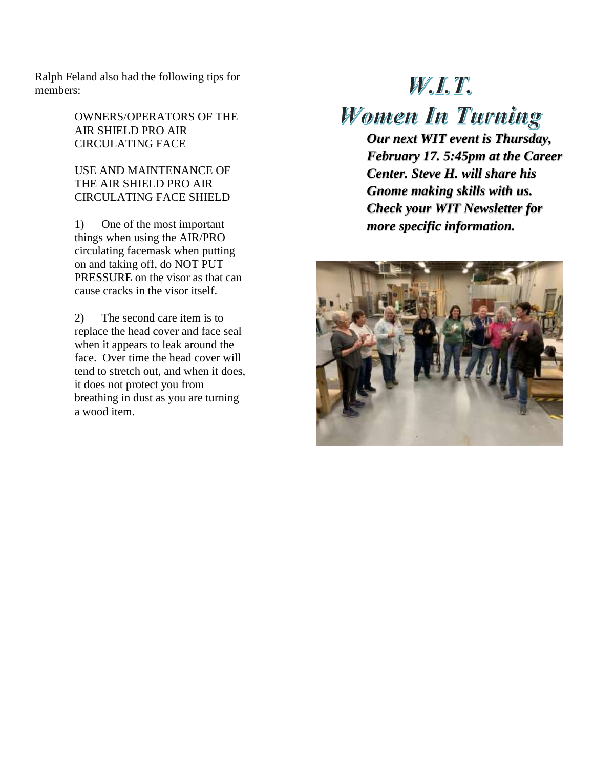Ralph Feland also had the following tips for members:

> OWNERS/OPERATORS OF THE AIR SHIELD PRO AIR CIRCULATING FACE

USE AND MAINTENANCE OF THE AIR SHIELD PRO AIR CIRCULATING FACE SHIELD

1) One of the most important things when using the AIR/PRO circulating facemask when putting on and taking off, do NOT PUT PRESSURE on the visor as that can cause cracks in the visor itself.

2) The second care item is to replace the head cover and face seal when it appears to leak around the face. Over time the head cover will tend to stretch out, and when it does, it does not protect you from breathing in dust as you are turning a wood item.

## W.I.T.

# **Women In Turning**

*Our next WIT event is Thursday, February 17. 5:45pm at the Career Center. Steve H. will share his Gnome making skills with us. Check your WIT Newsletter for more specific information.*